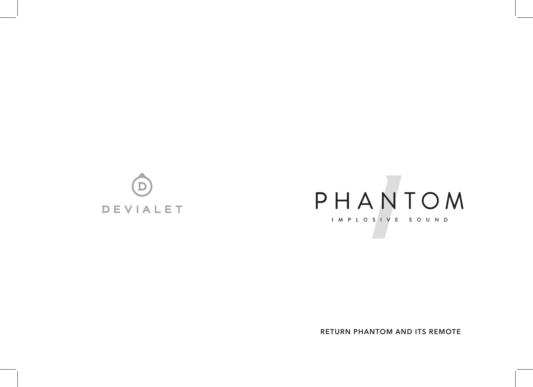



**RETURN PHANTOM AND ITS REMOTE**